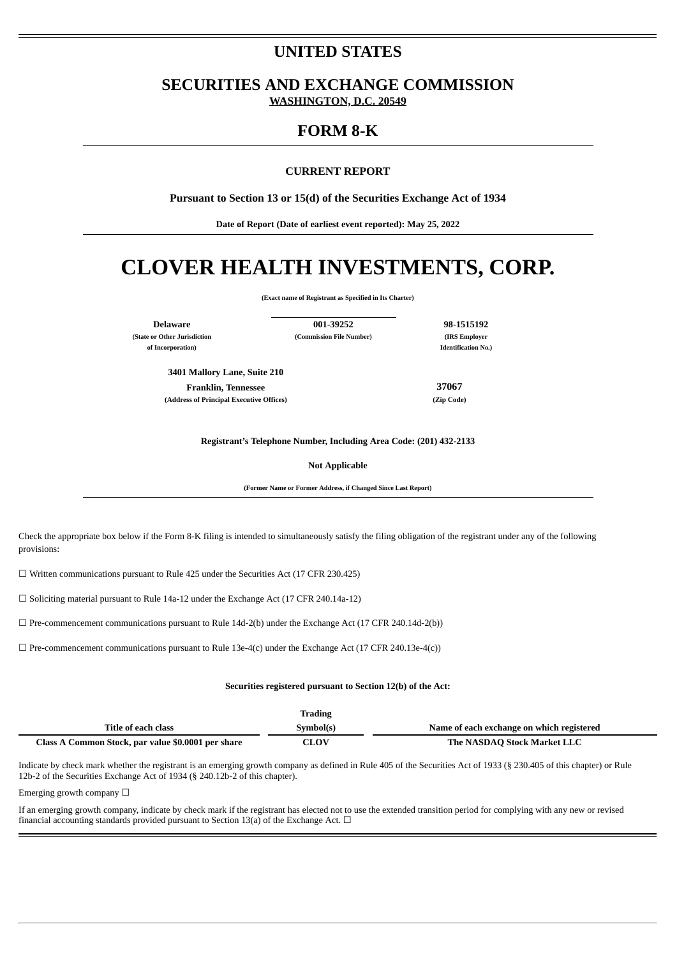# **UNITED STATES**

**SECURITIES AND EXCHANGE COMMISSION WASHINGTON, D.C. 20549**

# **FORM 8-K**

# **CURRENT REPORT**

**Pursuant to Section 13 or 15(d) of the Securities Exchange Act of 1934**

**Date of Report (Date of earliest event reported): May 25, 2022**

# **CLOVER HEALTH INVESTMENTS, CORP.**

**(Exact name of Registrant as Specified in Its Charter)**

**of Incorporation) Identification No.)**

**Delaware 001-39252 98-1515192 (State or Other Jurisdiction (Commission File Number) (IRS Employer**

**3401 Mallory Lane, Suite 210 Franklin, Tennessee 37067 (Address of Principal Executive Offices) (Zip Code)**

**Registrant's Telephone Number, Including Area Code: (201) 432-2133**

**Not Applicable**

**(Former Name or Former Address, if Changed Since Last Report)**

Check the appropriate box below if the Form 8-K filing is intended to simultaneously satisfy the filing obligation of the registrant under any of the following provisions:

 $\Box$  Written communications pursuant to Rule 425 under the Securities Act (17 CFR 230.425)

 $\Box$  Soliciting material pursuant to Rule 14a-12 under the Exchange Act (17 CFR 240.14a-12)

☐ Pre-commencement communications pursuant to Rule 14d-2(b) under the Exchange Act (17 CFR 240.14d-2(b))

 $\Box$  Pre-commencement communications pursuant to Rule 13e-4(c) under the Exchange Act (17 CFR 240.13e-4(c))

#### **Securities registered pursuant to Section 12(b) of the Act:**

|                                                    | <b>Trading</b> |                                           |
|----------------------------------------------------|----------------|-------------------------------------------|
| Title of each class                                | Symbol(s)      | Name of each exchange on which registered |
| Class A Common Stock, par value \$0.0001 per share | CLOV           | The NASDAO Stock Market LLC               |

Indicate by check mark whether the registrant is an emerging growth company as defined in Rule 405 of the Securities Act of 1933 (§ 230.405 of this chapter) or Rule 12b-2 of the Securities Exchange Act of 1934 (§ 240.12b-2 of this chapter).

Emerging growth company  $\Box$ 

If an emerging growth company, indicate by check mark if the registrant has elected not to use the extended transition period for complying with any new or revised financial accounting standards provided pursuant to Section 13(a) of the Exchange Act.  $\Box$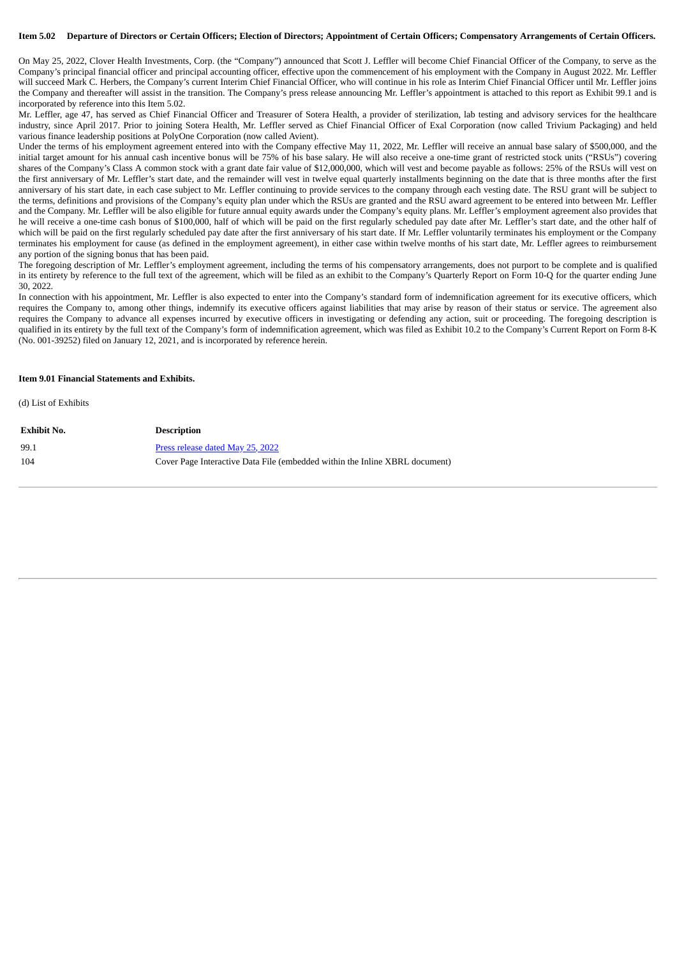## **Item 5.02 Departure of Directors or Certain Officers; Election of Directors; Appointment of Certain Officers; Compensatory Arrangements of Certain Officers.**

On May 25, 2022, Clover Health Investments, Corp. (the "Company") announced that Scott J. Leffler will become Chief Financial Officer of the Company, to serve as the Company's principal financial officer and principal accounting officer, effective upon the commencement of his employment with the Company in August 2022. Mr. Leffler will succeed Mark C. Herbers, the Company's current Interim Chief Financial Officer, who will continue in his role as Interim Chief Financial Officer until Mr. Leffler joins the Company and thereafter will assist in the transition. The Company's press release announcing Mr. Leffler's appointment is attached to this report as Exhibit 99.1 and is incorporated by reference into this Item 5.02.

Mr. Leffler, age 47, has served as Chief Financial Officer and Treasurer of Sotera Health, a provider of sterilization, lab testing and advisory services for the healthcare industry, since April 2017. Prior to joining Sotera Health, Mr. Leffler served as Chief Financial Officer of Exal Corporation (now called Trivium Packaging) and held various finance leadership positions at PolyOne Corporation (now called Avient).

Under the terms of his employment agreement entered into with the Company effective May 11, 2022, Mr. Leffler will receive an annual base salary of \$500,000, and the initial target amount for his annual cash incentive bonus will be 75% of his base salary. He will also receive a one-time grant of restricted stock units ("RSUs") covering shares of the Company's Class A common stock with a grant date fair value of \$12,000,000, which will vest and become payable as follows: 25% of the RSUs will vest on the first anniversary of Mr. Leffler's start date, and the remainder will vest in twelve equal quarterly installments beginning on the date that is three months after the first anniversary of his start date, in each case subject to Mr. Leffler continuing to provide services to the company through each vesting date. The RSU grant will be subject to the terms, definitions and provisions of the Company's equity plan under which the RSUs are granted and the RSU award agreement to be entered into between Mr. Leffler and the Company. Mr. Leffler will be also eligible for future annual equity awards under the Company's equity plans. Mr. Leffler's employment agreement also provides that he will receive a one-time cash bonus of \$100,000, half of which will be paid on the first regularly scheduled pay date after Mr. Leffler's start date, and the other half of which will be paid on the first regularly scheduled pay date after the first anniversary of his start date. If Mr. Leffler voluntarily terminates his employment or the Company terminates his employment for cause (as defined in the employment agreement), in either case within twelve months of his start date, Mr. Leffler agrees to reimbursement any portion of the signing bonus that has been paid.

The foregoing description of Mr. Leffler's employment agreement, including the terms of his compensatory arrangements, does not purport to be complete and is qualified in its entirety by reference to the full text of the agreement, which will be filed as an exhibit to the Company's Quarterly Report on Form 10-Q for the quarter ending June 30, 2022.

In connection with his appointment, Mr. Leffler is also expected to enter into the Company's standard form of indemnification agreement for its executive officers, which requires the Company to, among other things, indemnify its executive officers against liabilities that may arise by reason of their status or service. The agreement also requires the Company to advance all expenses incurred by executive officers in investigating or defending any action, suit or proceeding. The foregoing description is qualified in its entirety by the full text of the Company's form of indemnification agreement, which was filed as Exhibit 10.2 to the Company's Current Report on Form 8-K (No. 001-39252) filed on January 12, 2021, and is incorporated by reference herein.

#### **Item 9.01 Financial Statements and Exhibits.**

(d) List of Exhibits

| <b>Exhibit No.</b> | <b>Description</b>                                                          |
|--------------------|-----------------------------------------------------------------------------|
| 99.1               | Press release dated May 25, 2022                                            |
| 104                | Cover Page Interactive Data File (embedded within the Inline XBRL document) |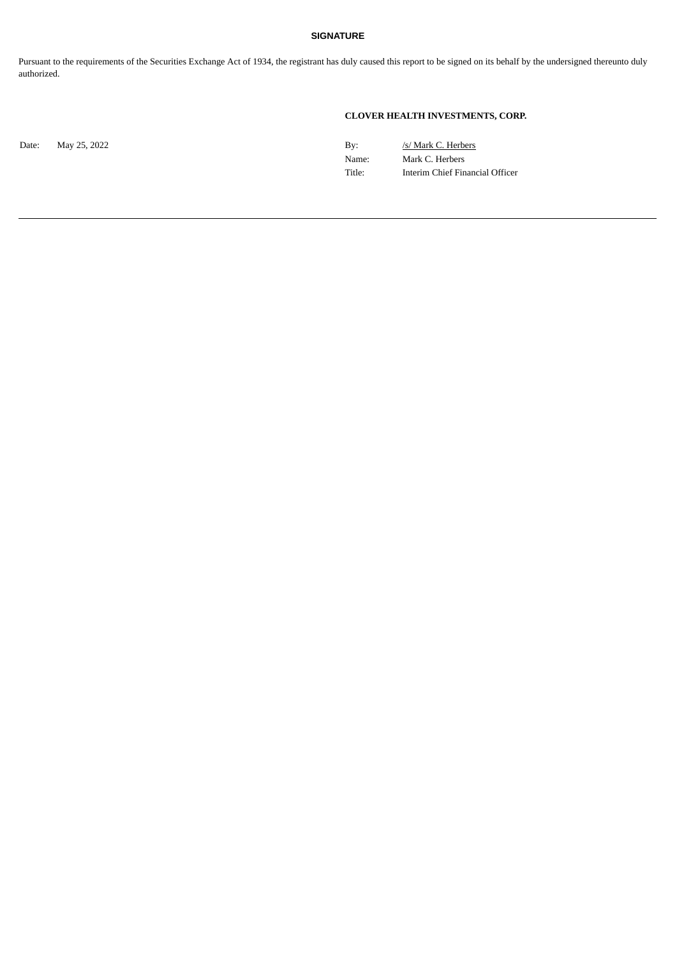# **SIGNATURE**

Pursuant to the requirements of the Securities Exchange Act of 1934, the registrant has duly caused this report to be signed on its behalf by the undersigned thereunto duly authorized.

# **CLOVER HEALTH INVESTMENTS, CORP.**

Date: May 25, 2022 By: /s/ Mark C. Herbers Name: Mark C. Herbers Title: Interim Chief Financial Officer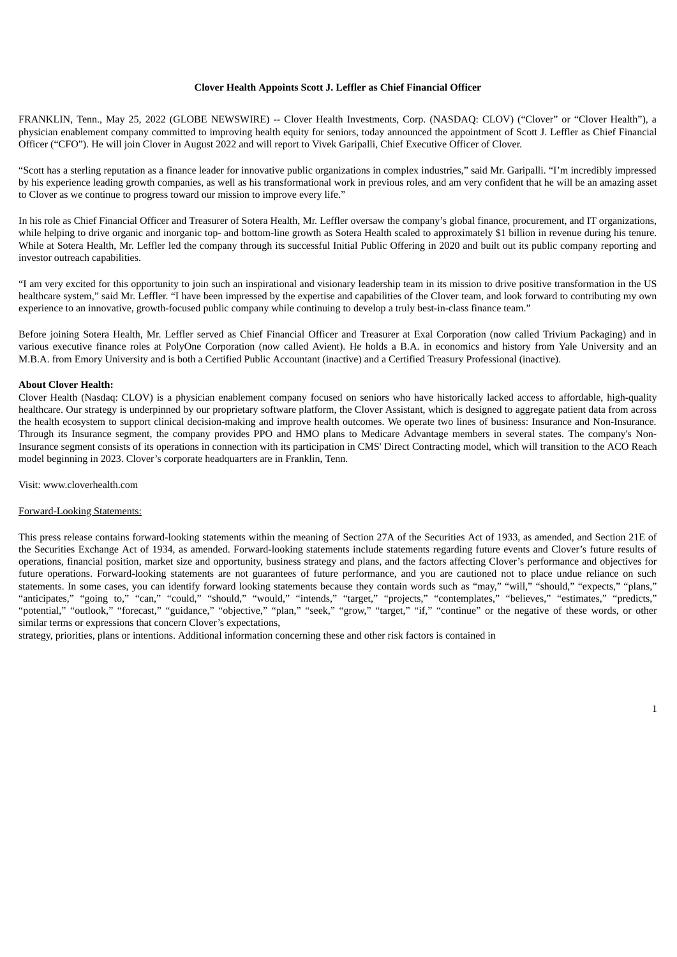## **Clover Health Appoints Scott J. Leffler as Chief Financial Officer**

<span id="page-3-0"></span>FRANKLIN, Tenn., May 25, 2022 (GLOBE NEWSWIRE) -- Clover Health Investments, Corp. (NASDAQ: CLOV) ("Clover" or "Clover Health"), a physician enablement company committed to improving health equity for seniors, today announced the appointment of Scott J. Leffler as Chief Financial Officer ("CFO"). He will join Clover in August 2022 and will report to Vivek Garipalli, Chief Executive Officer of Clover.

"Scott has a sterling reputation as a finance leader for innovative public organizations in complex industries," said Mr. Garipalli. "I'm incredibly impressed by his experience leading growth companies, as well as his transformational work in previous roles, and am very confident that he will be an amazing asset to Clover as we continue to progress toward our mission to improve every life."

In his role as Chief Financial Officer and Treasurer of Sotera Health, Mr. Leffler oversaw the company's global finance, procurement, and IT organizations, while helping to drive organic and inorganic top- and bottom-line growth as Sotera Health scaled to approximately \$1 billion in revenue during his tenure. While at Sotera Health, Mr. Leffler led the company through its successful Initial Public Offering in 2020 and built out its public company reporting and investor outreach capabilities.

"I am very excited for this opportunity to join such an inspirational and visionary leadership team in its mission to drive positive transformation in the US healthcare system," said Mr. Leffler. "I have been impressed by the expertise and capabilities of the Clover team, and look forward to contributing my own experience to an innovative, growth-focused public company while continuing to develop a truly best-in-class finance team."

Before joining Sotera Health, Mr. Leffler served as Chief Financial Officer and Treasurer at Exal Corporation (now called Trivium Packaging) and in various executive finance roles at PolyOne Corporation (now called Avient). He holds a B.A. in economics and history from Yale University and an M.B.A. from Emory University and is both a Certified Public Accountant (inactive) and a Certified Treasury Professional (inactive).

## **About Clover Health:**

Clover Health (Nasdaq: CLOV) is a physician enablement company focused on seniors who have historically lacked access to affordable, high-quality healthcare. Our strategy is underpinned by our proprietary software platform, the Clover Assistant, which is designed to aggregate patient data from across the health ecosystem to support clinical decision-making and improve health outcomes. We operate two lines of business: Insurance and Non-Insurance. Through its Insurance segment, the company provides PPO and HMO plans to Medicare Advantage members in several states. The company's Non-Insurance segment consists of its operations in connection with its participation in CMS' Direct Contracting model, which will transition to the ACO Reach model beginning in 2023. Clover's corporate headquarters are in Franklin, Tenn.

Visit: www.cloverhealth.com

#### Forward-Looking Statements:

This press release contains forward-looking statements within the meaning of Section 27A of the Securities Act of 1933, as amended, and Section 21E of the Securities Exchange Act of 1934, as amended. Forward-looking statements include statements regarding future events and Clover's future results of operations, financial position, market size and opportunity, business strategy and plans, and the factors affecting Clover's performance and objectives for future operations. Forward-looking statements are not guarantees of future performance, and you are cautioned not to place undue reliance on such statements. In some cases, you can identify forward looking statements because they contain words such as "may," "will," "should," "expects," "plans," "anticipates," "going to," "can," "could," "should," "would," "intends," "target," "projects," "contemplates," "believes," "estimates," "predicts," "potential," "outlook," "forecast," "guidance," "objective," "plan," "seek," "grow," "target," "if," "continue" or the negative of these words, or other similar terms or expressions that concern Clover's expectations,

strategy, priorities, plans or intentions. Additional information concerning these and other risk factors is contained in